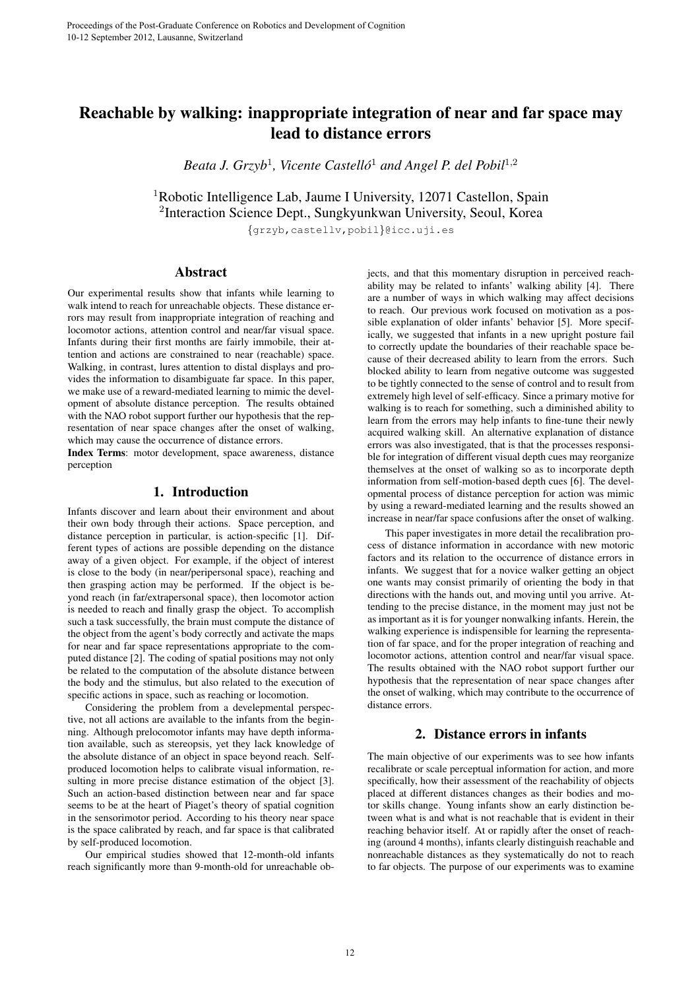# Reachable by walking: inappropriate integration of near and far space may lead to distance errors

Beata J. Grzyb<sup>1</sup>, Vicente Castelló<sup>1</sup> and Angel P. del Pobil<sup>1,2</sup>

<sup>1</sup>Robotic Intelligence Lab, Jaume I University, 12071 Castellon, Spain 2 Interaction Science Dept., Sungkyunkwan University, Seoul, Korea {grzyb,castellv,pobil}@icc.uji.es

### Abstract

Our experimental results show that infants while learning to walk intend to reach for unreachable objects. These distance errors may result from inappropriate integration of reaching and locomotor actions, attention control and near/far visual space. Infants during their first months are fairly immobile, their attention and actions are constrained to near (reachable) space. Walking, in contrast, lures attention to distal displays and provides the information to disambiguate far space. In this paper, we make use of a reward-mediated learning to mimic the development of absolute distance perception. The results obtained with the NAO robot support further our hypothesis that the representation of near space changes after the onset of walking, which may cause the occurrence of distance errors.

Index Terms: motor development, space awareness, distance perception

# 1. Introduction

Infants discover and learn about their environment and about their own body through their actions. Space perception, and distance perception in particular, is action-specific [1]. Different types of actions are possible depending on the distance away of a given object. For example, if the object of interest is close to the body (in near/peripersonal space), reaching and then grasping action may be performed. If the object is beyond reach (in far/extrapersonal space), then locomotor action is needed to reach and finally grasp the object. To accomplish such a task successfully, the brain must compute the distance of the object from the agent's body correctly and activate the maps for near and far space representations appropriate to the computed distance [2]. The coding of spatial positions may not only be related to the computation of the absolute distance between the body and the stimulus, but also related to the execution of specific actions in space, such as reaching or locomotion.

Considering the problem from a develepmental perspective, not all actions are available to the infants from the beginning. Although prelocomotor infants may have depth information available, such as stereopsis, yet they lack knowledge of the absolute distance of an object in space beyond reach. Selfproduced locomotion helps to calibrate visual information, resulting in more precise distance estimation of the object [3]. Such an action-based distinction between near and far space seems to be at the heart of Piaget's theory of spatial cognition in the sensorimotor period. According to his theory near space is the space calibrated by reach, and far space is that calibrated by self-produced locomotion.

Our empirical studies showed that 12-month-old infants reach significantly more than 9-month-old for unreachable objects, and that this momentary disruption in perceived reachability may be related to infants' walking ability [4]. There are a number of ways in which walking may affect decisions to reach. Our previous work focused on motivation as a possible explanation of older infants' behavior [5]. More specifically, we suggested that infants in a new upright posture fail to correctly update the boundaries of their reachable space because of their decreased ability to learn from the errors. Such blocked ability to learn from negative outcome was suggested to be tightly connected to the sense of control and to result from extremely high level of self-efficacy. Since a primary motive for walking is to reach for something, such a diminished ability to learn from the errors may help infants to fine-tune their newly acquired walking skill. An alternative explanation of distance errors was also investigated, that is that the processes responsible for integration of different visual depth cues may reorganize themselves at the onset of walking so as to incorporate depth information from self-motion-based depth cues [6]. The developmental process of distance perception for action was mimic by using a reward-mediated learning and the results showed an increase in near/far space confusions after the onset of walking.

This paper investigates in more detail the recalibration process of distance information in accordance with new motoric factors and its relation to the occurrence of distance errors in infants. We suggest that for a novice walker getting an object one wants may consist primarily of orienting the body in that directions with the hands out, and moving until you arrive. Attending to the precise distance, in the moment may just not be as important as it is for younger nonwalking infants. Herein, the walking experience is indispensible for learning the representation of far space, and for the proper integration of reaching and locomotor actions, attention control and near/far visual space. The results obtained with the NAO robot support further our hypothesis that the representation of near space changes after the onset of walking, which may contribute to the occurrence of distance errors.

### 2. Distance errors in infants

The main objective of our experiments was to see how infants recalibrate or scale perceptual information for action, and more specifically, how their assessment of the reachability of objects placed at different distances changes as their bodies and motor skills change. Young infants show an early distinction between what is and what is not reachable that is evident in their reaching behavior itself. At or rapidly after the onset of reaching (around 4 months), infants clearly distinguish reachable and nonreachable distances as they systematically do not to reach to far objects. The purpose of our experiments was to examine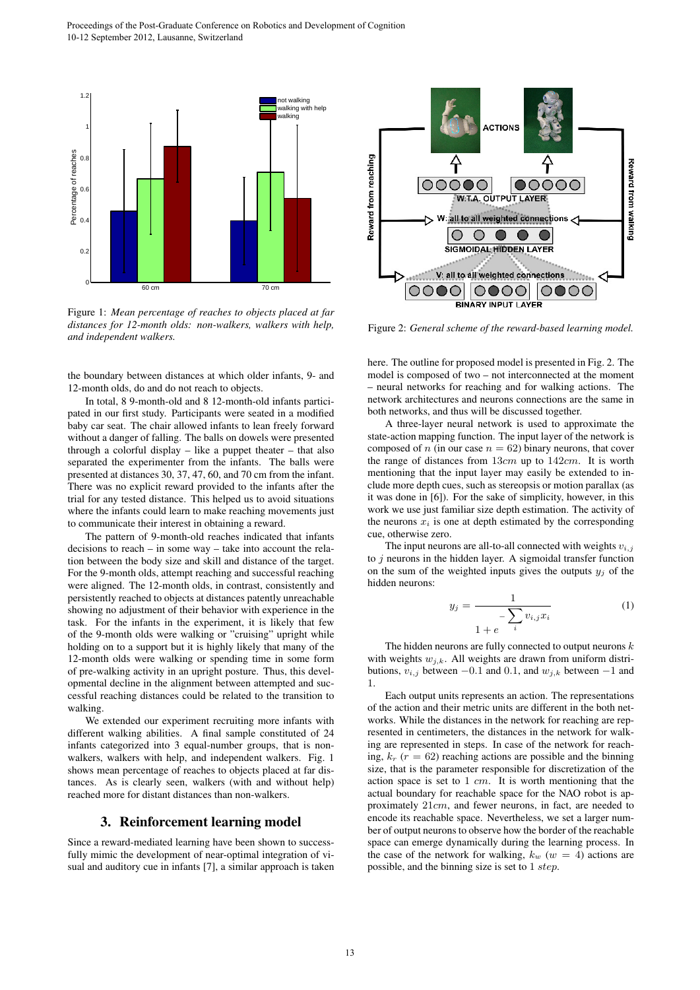

Figure 1: *Mean percentage of reaches to objects placed at far distances for 12-month olds: non-walkers, walkers with help, and independent walkers.*

the boundary between distances at which older infants, 9- and 12-month olds, do and do not reach to objects.

In total, 8 9-month-old and 8 12-month-old infants participated in our first study. Participants were seated in a modified baby car seat. The chair allowed infants to lean freely forward without a danger of falling. The balls on dowels were presented through a colorful display – like a puppet theater – that also separated the experimenter from the infants. The balls were presented at distances 30, 37, 47, 60, and 70 cm from the infant. There was no explicit reward provided to the infants after the trial for any tested distance. This helped us to avoid situations where the infants could learn to make reaching movements just to communicate their interest in obtaining a reward.

The pattern of 9-month-old reaches indicated that infants decisions to reach – in some way – take into account the relation between the body size and skill and distance of the target. For the 9-month olds, attempt reaching and successful reaching were aligned. The 12-month olds, in contrast, consistently and persistently reached to objects at distances patently unreachable showing no adjustment of their behavior with experience in the task. For the infants in the experiment, it is likely that few of the 9-month olds were walking or "cruising" upright while holding on to a support but it is highly likely that many of the 12-month olds were walking or spending time in some form of pre-walking activity in an upright posture. Thus, this developmental decline in the alignment between attempted and successful reaching distances could be related to the transition to walking.

We extended our experiment recruiting more infants with different walking abilities. A final sample constituted of 24 infants categorized into 3 equal-number groups, that is nonwalkers, walkers with help, and independent walkers. Fig. 1 shows mean percentage of reaches to objects placed at far distances. As is clearly seen, walkers (with and without help) reached more for distant distances than non-walkers.

### 3. Reinforcement learning model

Since a reward-mediated learning have been shown to successfully mimic the development of near-optimal integration of visual and auditory cue in infants [7], a similar approach is taken



Figure 2: *General scheme of the reward-based learning model.*

here. The outline for proposed model is presented in Fig. 2. The model is composed of two – not interconnected at the moment – neural networks for reaching and for walking actions. The network architectures and neurons connections are the same in both networks, and thus will be discussed together.

A three-layer neural network is used to approximate the state-action mapping function. The input layer of the network is composed of n (in our case  $n = 62$ ) binary neurons, that cover the range of distances from  $13cm$  up to  $142cm$ . It is worth mentioning that the input layer may easily be extended to include more depth cues, such as stereopsis or motion parallax (as it was done in [6]). For the sake of simplicity, however, in this work we use just familiar size depth estimation. The activity of the neurons  $x_i$  is one at depth estimated by the corresponding cue, otherwise zero.

The input neurons are all-to-all connected with weights  $v_{i,j}$ to  $j$  neurons in the hidden layer. A sigmoidal transfer function on the sum of the weighted inputs gives the outputs  $y_j$  of the hidden neurons:

$$
y_j = \frac{1}{1 + e^{-\sum_{i} v_{i,j} x_i}}
$$
 (1)

The hidden neurons are fully connected to output neurons  $k$ with weights  $w_{j,k}$ . All weights are drawn from uniform distributions,  $v_{i,j}$  between −0.1 and 0.1, and  $w_{j,k}$  between −1 and 1.

Each output units represents an action. The representations of the action and their metric units are different in the both networks. While the distances in the network for reaching are represented in centimeters, the distances in the network for walking are represented in steps. In case of the network for reaching,  $k_r$  ( $r = 62$ ) reaching actions are possible and the binning size, that is the parameter responsible for discretization of the action space is set to  $1 \, cm$ . It is worth mentioning that the actual boundary for reachable space for the NAO robot is approximately 21cm, and fewer neurons, in fact, are needed to encode its reachable space. Nevertheless, we set a larger number of output neurons to observe how the border of the reachable space can emerge dynamically during the learning process. In the case of the network for walking,  $k_w$  ( $w = 4$ ) actions are possible, and the binning size is set to 1 step.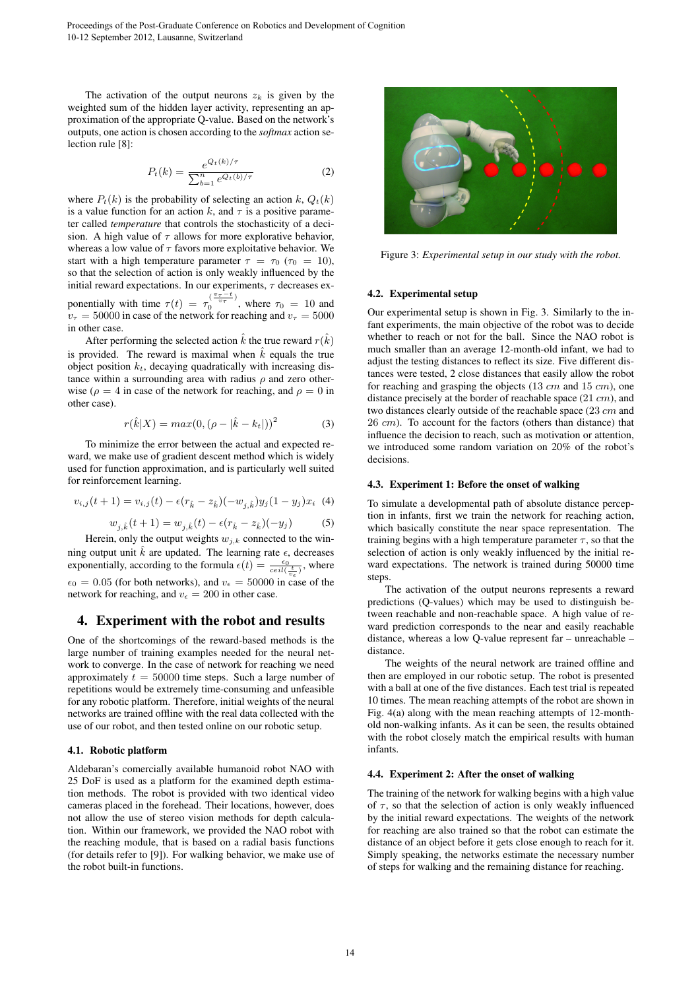The activation of the output neurons  $z_k$  is given by the weighted sum of the hidden layer activity, representing an approximation of the appropriate Q-value. Based on the network's outputs, one action is chosen according to the *softmax* action selection rule [8]:

$$
P_t(k) = \frac{e^{Q_t(k)/\tau}}{\sum_{b=1}^n e^{Q_t(b)/\tau}}
$$
 (2)

where  $P_t(k)$  is the probability of selecting an action k,  $Q_t(k)$ is a value function for an action k, and  $\tau$  is a positive parameter called *temperature* that controls the stochasticity of a decision. A high value of  $\tau$  allows for more explorative behavior, whereas a low value of  $\tau$  favors more exploitative behavior. We start with a high temperature parameter  $\tau = \tau_0$  ( $\tau_0 = 10$ ), so that the selection of action is only weakly influenced by the initial reward expectations. In our experiments,  $\tau$  decreases exponentially with time  $\tau(t) = \tau_0^{\left(\frac{v_{\tau}-t}{v_{\tau}}\right)}$  $\int_0^b v_\tau$ , where  $\tau_0 = 10$  and  $v_{\tau} = 50000$  in case of the network for reaching and  $v_{\tau} = 5000$ in other case.

After performing the selected action  $\hat{k}$  the true reward  $r(\hat{k})$ is provided. The reward is maximal when  $\hat{k}$  equals the true object position  $k_t$ , decaying quadratically with increasing distance within a surrounding area with radius  $\rho$  and zero otherwise ( $\rho = 4$  in case of the network for reaching, and  $\rho = 0$  in other case).

$$
r(\hat{k}|X) = max(0, (\rho - |\hat{k} - k_t|))^2
$$
 (3)

To minimize the error between the actual and expected reward, we make use of gradient descent method which is widely used for function approximation, and is particularly well suited for reinforcement learning.

$$
v_{i,j}(t+1) = v_{i,j}(t) - \epsilon (r_{\hat{k}} - z_{\hat{k}})(-w_{j,\hat{k}})y_j(1-y_j)x_i \tag{4}
$$

$$
w_{j,k}(t+1) = w_{j,k}(t) - \epsilon (r_k - z_k)(-y_j)
$$
 (5)

Herein, only the output weights  $w_{j,k}$  connected to the winning output unit  $\hat{k}$  are updated. The learning rate  $\epsilon$ , decreases exponentially, according to the formula  $\epsilon(t) = \frac{\epsilon_0}{ce^{it}(\frac{t}{\epsilon_0})}$ , where  $\epsilon_0 = 0.05$  (for both networks), and  $v_{\epsilon} = 50000$  in case of the network for reaching, and  $v_{\epsilon} = 200$  in other case.

### 4. Experiment with the robot and results

One of the shortcomings of the reward-based methods is the large number of training examples needed for the neural network to converge. In the case of network for reaching we need approximately  $t = 50000$  time steps. Such a large number of repetitions would be extremely time-consuming and unfeasible for any robotic platform. Therefore, initial weights of the neural networks are trained offline with the real data collected with the use of our robot, and then tested online on our robotic setup.

### 4.1. Robotic platform

Aldebaran's comercially available humanoid robot NAO with 25 DoF is used as a platform for the examined depth estimation methods. The robot is provided with two identical video cameras placed in the forehead. Their locations, however, does not allow the use of stereo vision methods for depth calculation. Within our framework, we provided the NAO robot with the reaching module, that is based on a radial basis functions (for details refer to [9]). For walking behavior, we make use of the robot built-in functions.



Figure 3: *Experimental setup in our study with the robot.*

#### 4.2. Experimental setup

Our experimental setup is shown in Fig. 3. Similarly to the infant experiments, the main objective of the robot was to decide whether to reach or not for the ball. Since the NAO robot is much smaller than an average 12-month-old infant, we had to adjust the testing distances to reflect its size. Five different distances were tested, 2 close distances that easily allow the robot for reaching and grasping the objects  $(13 \, \text{cm})$  and  $(15 \, \text{cm})$ , one distance precisely at the border of reachable space (21 cm), and two distances clearly outside of the reachable space (23 cm and  $26 \, \text{cm}$ ). To account for the factors (others than distance) that influence the decision to reach, such as motivation or attention, we introduced some random variation on 20% of the robot's decisions.

#### 4.3. Experiment 1: Before the onset of walking

To simulate a developmental path of absolute distance perception in infants, first we train the network for reaching action, which basically constitute the near space representation. The training begins with a high temperature parameter  $\tau$ , so that the selection of action is only weakly influenced by the initial reward expectations. The network is trained during 50000 time steps.

The activation of the output neurons represents a reward predictions (Q-values) which may be used to distinguish between reachable and non-reachable space. A high value of reward prediction corresponds to the near and easily reachable distance, whereas a low Q-value represent far – unreachable – distance.

The weights of the neural network are trained offline and then are employed in our robotic setup. The robot is presented with a ball at one of the five distances. Each test trial is repeated 10 times. The mean reaching attempts of the robot are shown in Fig. 4(a) along with the mean reaching attempts of 12-monthold non-walking infants. As it can be seen, the results obtained with the robot closely match the empirical results with human infants.

#### 4.4. Experiment 2: After the onset of walking

The training of the network for walking begins with a high value of  $\tau$ , so that the selection of action is only weakly influenced by the initial reward expectations. The weights of the network for reaching are also trained so that the robot can estimate the distance of an object before it gets close enough to reach for it. Simply speaking, the networks estimate the necessary number of steps for walking and the remaining distance for reaching.